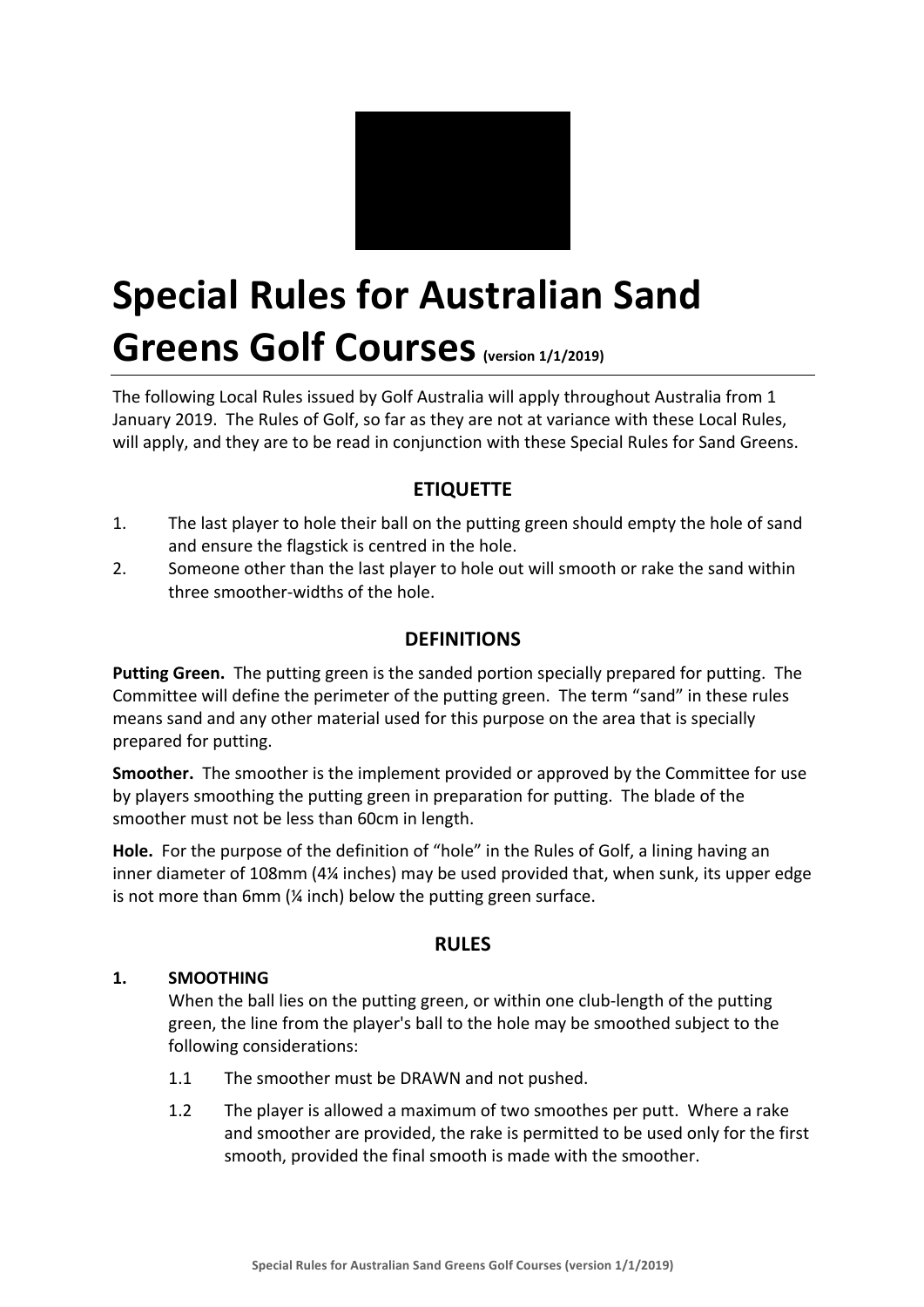

# **Special Rules for Australian Sand Greens Golf Courses** (version 1/1/2019)

The following Local Rules issued by Golf Australia will apply throughout Australia from 1 January 2019. The Rules of Golf, so far as they are not at variance with these Local Rules, will apply, and they are to be read in conjunction with these Special Rules for Sand Greens.

# **ETIQUETTE**

- 1. The last player to hole their ball on the putting green should empty the hole of sand and ensure the flagstick is centred in the hole.
- 2. Someone other than the last player to hole out will smooth or rake the sand within three smoother-widths of the hole.

## **DEFINITIONS**

**Putting Green.** The putting green is the sanded portion specially prepared for putting. The Committee will define the perimeter of the putting green. The term "sand" in these rules means sand and any other material used for this purpose on the area that is specially prepared for putting.

**Smoother.** The smoother is the implement provided or approved by the Committee for use by players smoothing the putting green in preparation for putting. The blade of the smoother must not be less than 60cm in length.

Hole. For the purpose of the definition of "hole" in the Rules of Golf, a lining having an inner diameter of 108mm (4¼ inches) may be used provided that, when sunk, its upper edge is not more than  $6$ mm ( $\frac{1}{4}$  inch) below the putting green surface.

### **RULES**

#### **1. SMOOTHING**

When the ball lies on the putting green, or within one club-length of the putting green, the line from the player's ball to the hole may be smoothed subject to the following considerations:

- 1.1 The smoother must be DRAWN and not pushed.
- 1.2 The player is allowed a maximum of two smoothes per putt. Where a rake and smoother are provided, the rake is permitted to be used only for the first smooth, provided the final smooth is made with the smoother.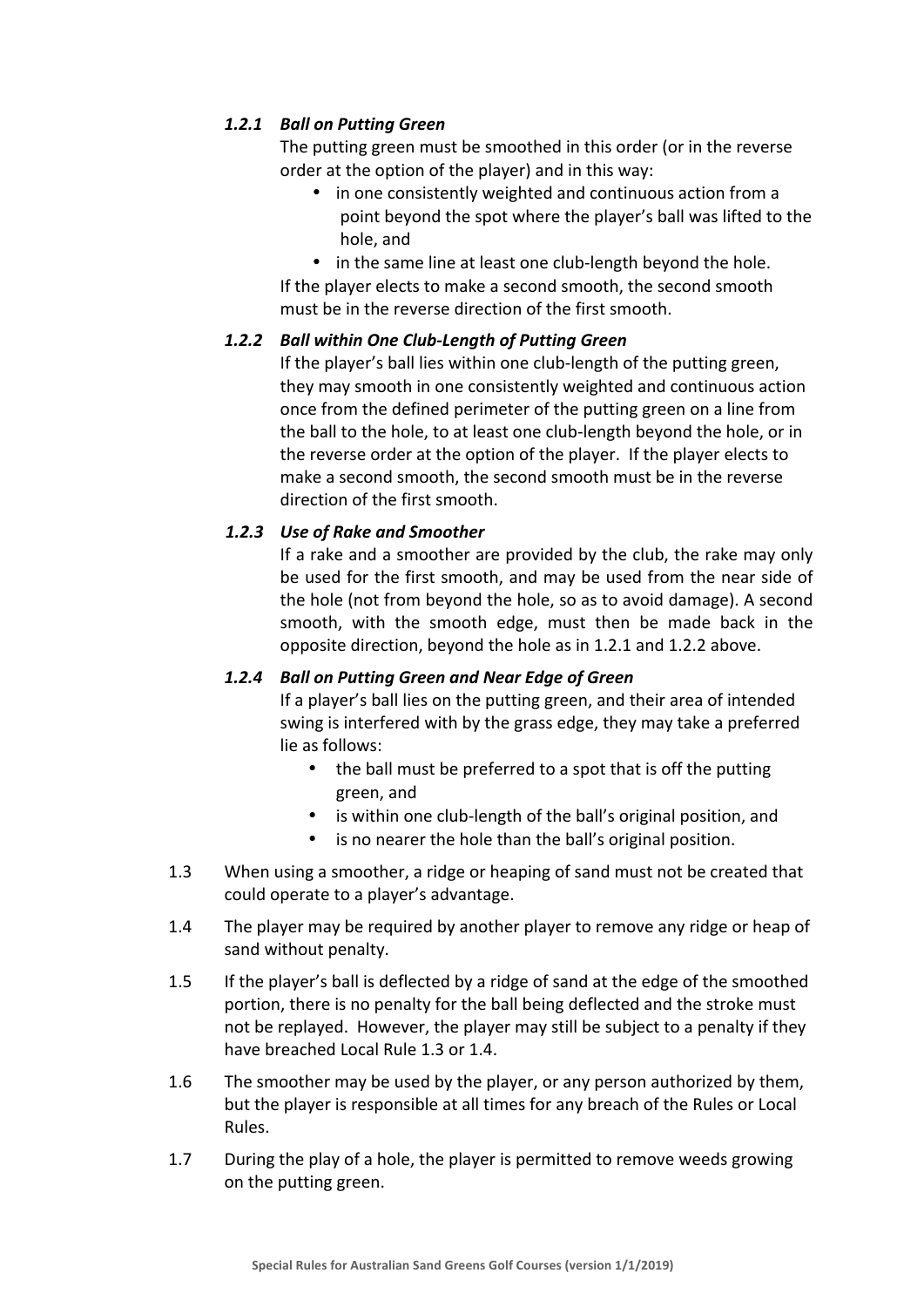#### *1.2.1 Ball on Putting Green*

The putting green must be smoothed in this order (or in the reverse order at the option of the player) and in this way:

- in one consistently weighted and continuous action from a point beyond the spot where the player's ball was lifted to the hole, and
- in the same line at least one club-length beyond the hole.

If the player elects to make a second smooth, the second smooth must be in the reverse direction of the first smooth.

#### *1.2.2 Ball within One Club-Length of Putting Green*

If the player's ball lies within one club-length of the putting green, they may smooth in one consistently weighted and continuous action once from the defined perimeter of the putting green on a line from the ball to the hole, to at least one club-length beyond the hole, or in the reverse order at the option of the player. If the player elects to make a second smooth, the second smooth must be in the reverse direction of the first smooth.

#### 1.2.3 Use of Rake and Smoother

If a rake and a smoother are provided by the club, the rake may only be used for the first smooth, and may be used from the near side of the hole (not from beyond the hole, so as to avoid damage). A second smooth, with the smooth edge, must then be made back in the opposite direction, beyond the hole as in 1.2.1 and 1.2.2 above.

#### *1.2.4 Ball on Putting Green and Near Edge of Green*

If a player's ball lies on the putting green, and their area of intended swing is interfered with by the grass edge, they may take a preferred lie as follows:

- the ball must be preferred to a spot that is off the putting green, and
- is within one club-length of the ball's original position, and
- is no nearer the hole than the ball's original position.
- 1.3 When using a smoother, a ridge or heaping of sand must not be created that could operate to a player's advantage.
- 1.4 The player may be required by another player to remove any ridge or heap of sand without penalty.
- 1.5 If the player's ball is deflected by a ridge of sand at the edge of the smoothed portion, there is no penalty for the ball being deflected and the stroke must not be replayed. However, the player may still be subject to a penalty if they have breached Local Rule 1.3 or 1.4.
- 1.6 The smoother may be used by the player, or any person authorized by them, but the player is responsible at all times for any breach of the Rules or Local Rules.
- 1.7 During the play of a hole, the player is permitted to remove weeds growing on the putting green.